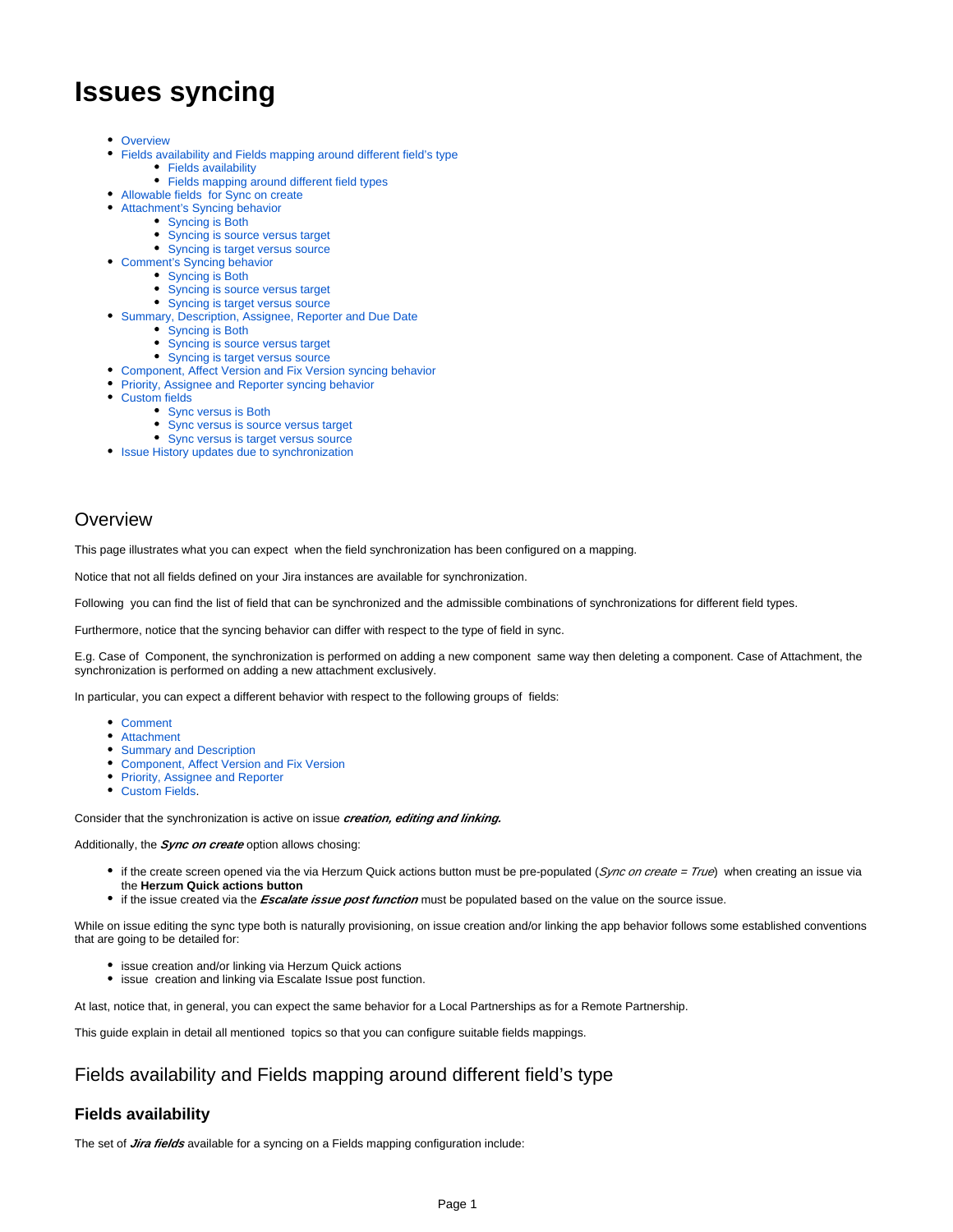# <span id="page-0-3"></span>**Issues syncing**

- [Overview](#page-0-0)
- [Fields availability and Fields mapping around different field's type](#page-0-1) • [Fields availability](#page-0-2)
	- [Fields mapping around different field types](#page-1-0)
- [Allowable fields for Sync on create](#page-1-1)
- [Attachment's Syncing behavior](#page-1-2) 
	- [Syncing is Both](#page-2-0)
		- [Syncing is source versus target](#page-2-1)
	- [Syncing is target versus source](#page-2-2)
- [Comment's Syncing behavior](#page-2-3)
	- [Syncing is Both](#page-2-4)
		- [Syncing is source versus target](#page-3-0)
	- [Syncing is target versus source](#page-3-1)
- [Summary, Description, Assignee, Reporter and Due Date](#page-3-2)
	- [Syncing is Both](#page-3-3)
	- [Syncing is source versus target](#page-3-4)
	- [Syncing is target versus source](#page-3-5)
- [Component, Affect Version and Fix Version syncing behavior](#page-4-0)
- **[Priority, Assignee and Reporter syncing behavior](#page-4-1)**
- [Custom fields](#page-4-2)
	- [Sync versus is Both](#page-4-3)
	- [Sync versus is source versus target](#page-4-4)
	- [Sync versus is target versus source](#page-4-5)
- [Issue History updates due to synchronization](#page-5-0)

### <span id="page-0-0"></span>**Overview**

This page illustrates what you can expect when the field synchronization has been configured on a mapping.

Notice that not all fields defined on your Jira instances are available for synchronization.

Following you can find the list of field that can be synchronized and the admissible combinations of synchronizations for different field types.

Furthermore, notice that the syncing behavior can differ with respect to the type of field in sync.

E.g. Case of Component, the synchronization is performed on adding a new component same way then deleting a component. Case of Attachment, the synchronization is performed on adding a new attachment exclusively.

In particular, you can expect a different behavior with respect to the following groups of fields:

- [Comment](#page-2-5)
- [Attachment](#page-1-2)
- [Summary and Description](#page-3-2)
- [Component, Affect Version and Fix Version](#page-4-0)
- [Priority, Assignee and Reporter](#page-0-3)
- Custom Fields.

Consider that the synchronization is active on issue **creation, editing and linking.**

Additionally, the **Sync on create** option allows chosing:

- if the create screen opened via the via Herzum Quick actions button must be pre-populated (Sync on create = True) when creating an issue via the **Herzum Quick actions button**
- if the issue created via the **Escalate issue post function** must be populated based on the value on the source issue.

While on issue editing the sync type both is naturally provisioning, on issue creation and/or linking the app behavior follows some established conventions that are going to be detailed for:

- **issue creation and/or linking via Herzum Quick actions**
- **•** issue creation and linking via Escalate Issue post function.

At last, notice that, in general, you can expect the same behavior for a Local Partnerships as for a Remote Partnership.

This guide explain in detail all mentioned topics so that you can configure suitable fields mappings.

### <span id="page-0-1"></span>Fields availability and Fields mapping around different field's type

### <span id="page-0-2"></span>**Fields availability**

The set of **Jira fields** available for a syncing on a Fields mapping configuration include: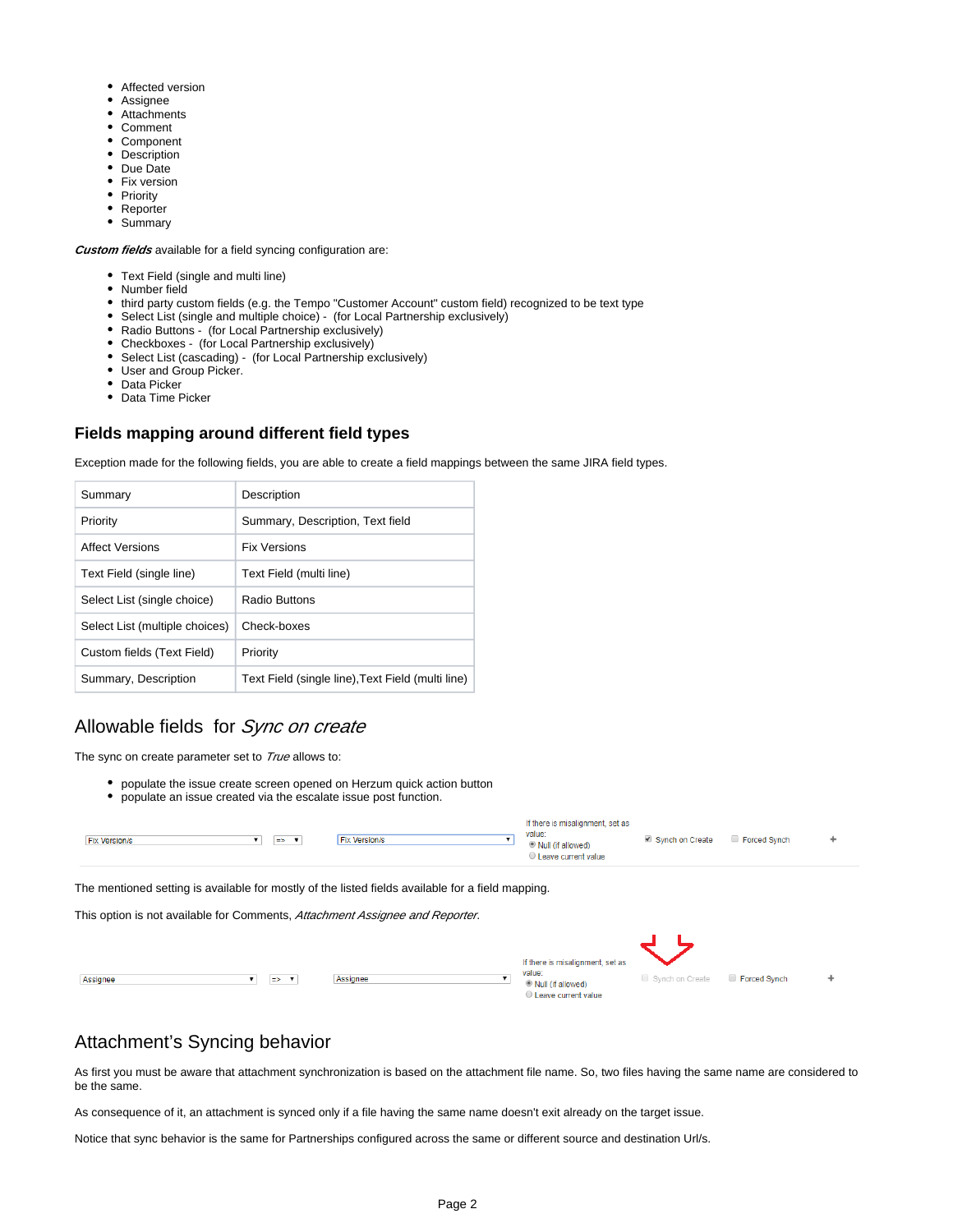- Affected version
- Assignee
- Attachments
- Comment
- Component
- Description
- Due Date
- Fix version
- Priority
- Reporter • Summary

**Custom fields** available for a field syncing configuration are:

- Text Field (single and multi line)
- Number field
- third party custom fields (e.g. the Tempo "Customer Account" custom field) recognized to be text type
- Select List (single and multiple choice) (for Local Partnership exclusively)
- Radio Buttons (for Local Partnership exclusively)
- Checkboxes (for Local Partnership exclusively)
- Select List (cascading) (for Local Partnership exclusively)
- User and Group Picker.
- Data Picker
- Data Time Picker

### <span id="page-1-0"></span>**Fields mapping around different field types**

Exception made for the following fields, you are able to create a field mappings between the same JIRA field types.

| Summary                        | Description                                       |
|--------------------------------|---------------------------------------------------|
| Priority                       | Summary, Description, Text field                  |
| Affect Versions                | <b>Fix Versions</b>                               |
| Text Field (single line)       | Text Field (multi line)                           |
| Select List (single choice)    | Radio Buttons                                     |
| Select List (multiple choices) | Check-boxes                                       |
| Custom fields (Text Field)     | Priority                                          |
| Summary, Description           | Text Field (single line), Text Field (multi line) |

### <span id="page-1-1"></span>Allowable fields for Sync on create

The sync on create parameter set to True allows to:

- populate the issue create screen opened on Herzum quick action button
- populate an issue created via the escalate issue post function.

| <b>Fix Version/s</b><br>$\Rightarrow$ $\bullet$                                                                  | <b>Fix Version/s</b> | If there is misalignment, set as<br>value:<br><sup>®</sup> Null (if allowed)<br>Leave current value | Synch on Create Forced Synch |  |
|------------------------------------------------------------------------------------------------------------------|----------------------|-----------------------------------------------------------------------------------------------------|------------------------------|--|
| The concentrated containts are the high-season and the final fact of fields are the high-season field as awarded |                      |                                                                                                     |                              |  |

The mentioned setting is available for mostly of the listed fields available for a field mapping.

This option is not available for Comments, Attachment Assignee and Reporter.

|                                     |          | If there is misalignment, set as                     |                                     |  |
|-------------------------------------|----------|------------------------------------------------------|-------------------------------------|--|
| Assignee<br>$\Rightarrow$ $\bullet$ | Assignee | value:<br>O Null (if allowed)<br>Leave current value | Synch on Create <b>Forced Synch</b> |  |

# <span id="page-1-2"></span>Attachment's Syncing behavior

As first you must be aware that attachment synchronization is based on the attachment file name. So, two files having the same name are considered to be the same.

As consequence of it, an attachment is synced only if a file having the same name doesn't exit already on the target issue.

Notice that sync behavior is the same for Partnerships configured across the same or different source and destination Url/s.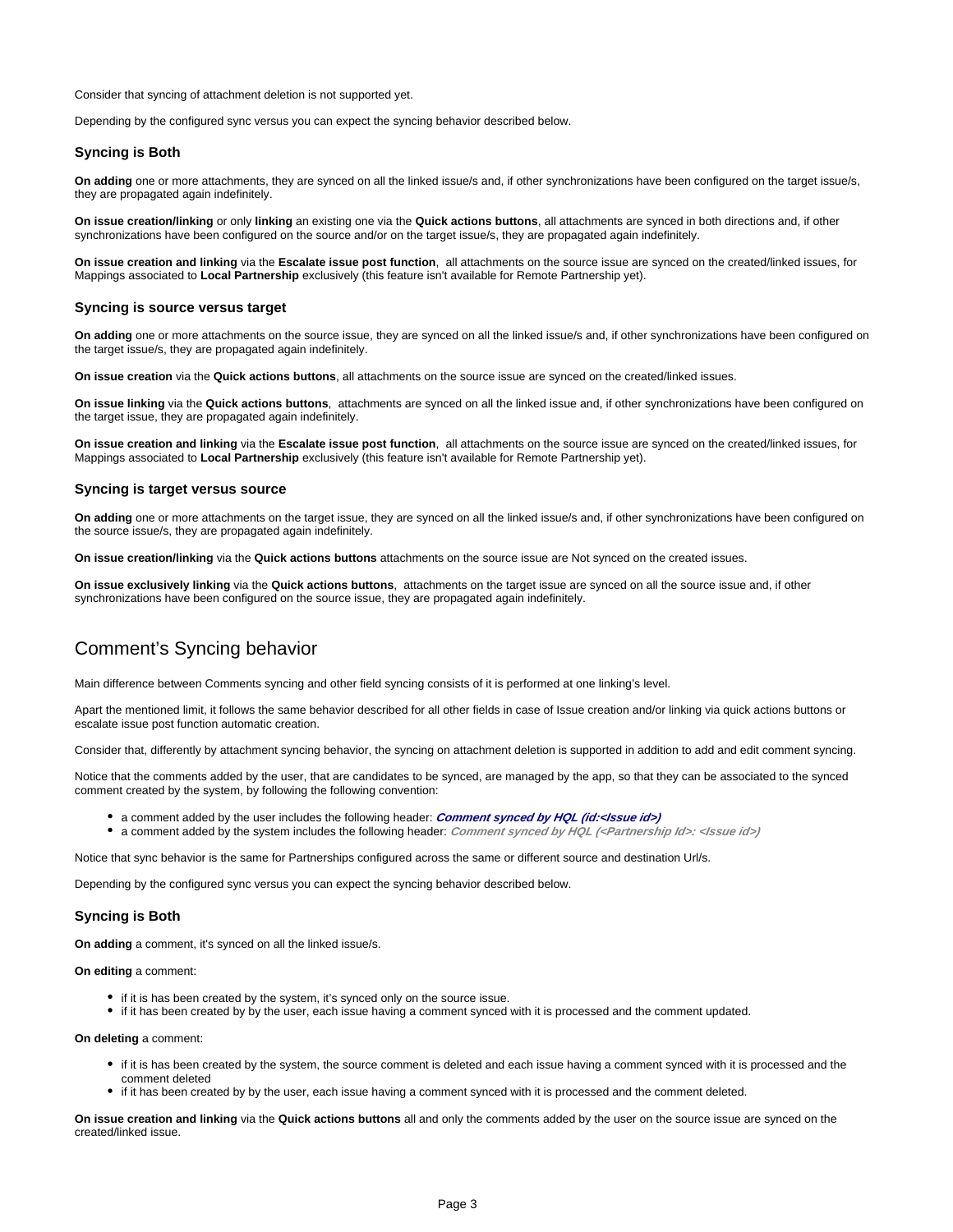Consider that syncing of attachment deletion is not supported yet.

Depending by the configured sync versus you can expect the syncing behavior described below.

#### <span id="page-2-0"></span>**Syncing is Both**

**On adding** one or more attachments, they are synced on all the linked issue/s and, if other synchronizations have been configured on the target issue/s, they are propagated again indefinitely.

**On issue creation/linking** or only **linking** an existing one via the **Quick actions buttons**, all attachments are synced in both directions and, if other synchronizations have been configured on the source and/or on the target issue/s, they are propagated again indefinitely.

**On issue creation and linking** via the **Escalate issue post function**, all attachments on the source issue are synced on the created/linked issues, for Mappings associated to **Local Partnership** exclusively (this feature isn't available for Remote Partnership yet).

### <span id="page-2-1"></span>**Syncing is source versus target**

**On adding** one or more attachments on the source issue, they are synced on all the linked issue/s and, if other synchronizations have been configured on the target issue/s, they are propagated again indefinitely.

**On issue creation** via the **Quick actions buttons**, all attachments on the source issue are synced on the created/linked issues.

**On issue linking** via the **Quick actions buttons**, attachments are synced on all the linked issue and, if other synchronizations have been configured on the target issue, they are propagated again indefinitely.

**On issue creation and linking** via the **Escalate issue post function**, all attachments on the source issue are synced on the created/linked issues, for Mappings associated to **Local Partnership** exclusively (this feature isn't available for Remote Partnership yet).

#### <span id="page-2-2"></span>**Syncing is target versus source**

**On adding** one or more attachments on the target issue, they are synced on all the linked issue/s and, if other synchronizations have been configured on the source issue/s, they are propagated again indefinitely.

**On issue creation/linking** via the **Quick actions buttons** attachments on the source issue are Not synced on the created issues.

**On issue exclusively linking** via the **Quick actions buttons**, attachments on the target issue are synced on all the source issue and, if other synchronizations have been configured on the source issue, they are propagated again indefinitely.

# <span id="page-2-5"></span><span id="page-2-3"></span>Comment's Syncing behavior

Main difference between Comments syncing and other field syncing consists of it is performed at one linking's level.

Apart the mentioned limit, it follows the same behavior described for all other fields in case of Issue creation and/or linking via quick actions buttons or escalate issue post function automatic creation.

Consider that, differently by attachment syncing behavior, the syncing on attachment deletion is supported in addition to add and edit comment syncing.

Notice that the comments added by the user, that are candidates to be synced, are managed by the app, so that they can be associated to the synced comment created by the system, by following the following convention:

- a comment added by the user includes the following header: **Comment synced by HQL (id:<Issue id>)**
- a comment added by the system includes the following header: **Comment synced by HQL (<Partnership Id>: <Issue id>)**

Notice that sync behavior is the same for Partnerships configured across the same or different source and destination Url/s.

Depending by the configured sync versus you can expect the syncing behavior described below.

#### <span id="page-2-4"></span>**Syncing is Both**

**On adding** a comment, it's synced on all the linked issue/s.

**On editing** a comment:

- if it is has been created by the system, it's synced only on the source issue.
- if it has been created by by the user, each issue having a comment synced with it is processed and the comment updated.

**On deleting** a comment:

- if it is has been created by the system, the source comment is deleted and each issue having a comment synced with it is processed and the comment deleted
- if it has been created by by the user, each issue having a comment synced with it is processed and the comment deleted.

**On issue creation and linking** via the **Quick actions buttons** all and only the comments added by the user on the source issue are synced on the created/linked issue.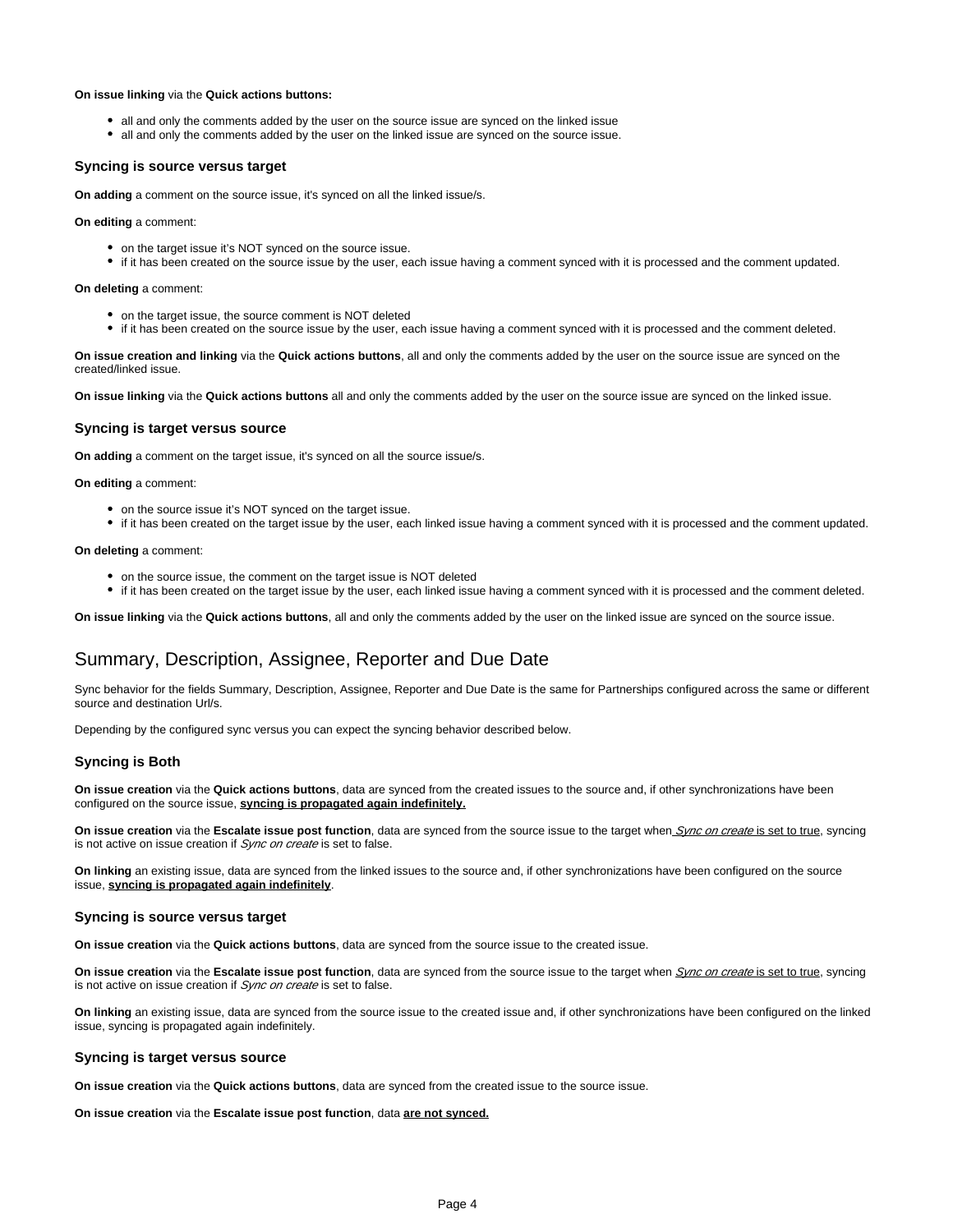#### **On issue linking** via the **Quick actions buttons:**

- all and only the comments added by the user on the source issue are synced on the linked issue
- all and only the comments added by the user on the linked issue are synced on the source issue.

#### <span id="page-3-0"></span>**Syncing is source versus target**

**On adding** a comment on the source issue, it's synced on all the linked issue/s.

**On editing** a comment:

- on the target issue it's NOT synced on the source issue.
- if it has been created on the source issue by the user, each issue having a comment synced with it is processed and the comment updated.

**On deleting** a comment:

- on the target issue, the source comment is NOT deleted
- if it has been created on the source issue by the user, each issue having a comment synced with it is processed and the comment deleted.

**On issue creation and linking** via the **Quick actions buttons**, all and only the comments added by the user on the source issue are synced on the created/linked issue.

**On issue linking** via the **Quick actions buttons** all and only the comments added by the user on the source issue are synced on the linked issue.

#### <span id="page-3-1"></span>**Syncing is target versus source**

**On adding** a comment on the target issue, it's synced on all the source issue/s.

**On editing** a comment:

- on the source issue it's NOT synced on the target issue.
- if it has been created on the target issue by the user, each linked issue having a comment synced with it is processed and the comment updated.

**On deleting** a comment:

- on the source issue, the comment on the target issue is NOT deleted
- if it has been created on the target issue by the user, each linked issue having a comment synced with it is processed and the comment deleted.

**On issue linking** via the **Quick actions buttons**, all and only the comments added by the user on the linked issue are synced on the source issue.

### <span id="page-3-2"></span>Summary, Description, Assignee, Reporter and Due Date

Sync behavior for the fields Summary, Description, Assignee, Reporter and Due Date is the same for Partnerships configured across the same or different source and destination Url/s.

Depending by the configured sync versus you can expect the syncing behavior described below.

#### <span id="page-3-3"></span>**Syncing is Both**

**On issue creation** via the **Quick actions buttons**, data are synced from the created issues to the source and, if other synchronizations have been configured on the source issue, **syncing is propagated again indefinitely.**

**On issue creation** via the Escalate issue post function, data are synced from the source issue to the target when Sync on create is set to true, syncing is not active on issue creation if Sync on create is set to false.

**On linking** an existing issue, data are synced from the linked issues to the source and, if other synchronizations have been configured on the source issue, **syncing is propagated again indefinitely**.

#### <span id="page-3-4"></span>**Syncing is source versus target**

**On issue creation** via the **Quick actions buttons**, data are synced from the source issue to the created issue.

**On issue creation** via the Escalate issue post function, data are synced from the source issue to the target when *Sync on create* is set to true, syncing is not active on issue creation if Sync on create is set to false.

**On linking** an existing issue, data are synced from the source issue to the created issue and, if other synchronizations have been configured on the linked issue, syncing is propagated again indefinitely.

#### <span id="page-3-5"></span>**Syncing is target versus source**

**On issue creation** via the **Quick actions buttons**, data are synced from the created issue to the source issue.

**On issue creation** via the **Escalate issue post function**, data **are not synced.**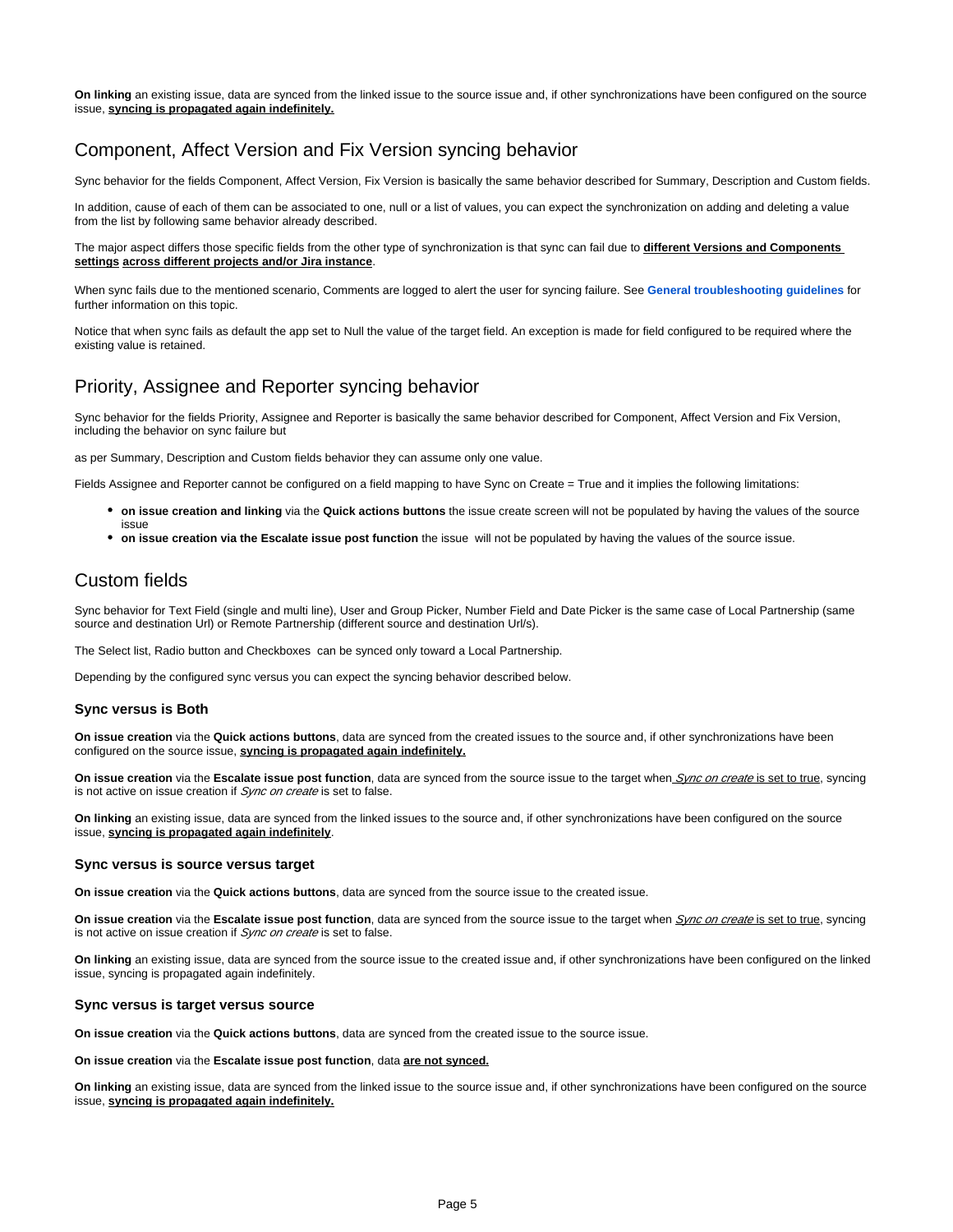**On linking** an existing issue, data are synced from the linked issue to the source issue and, if other synchronizations have been configured on the source issue, **syncing is propagated again indefinitely.**

### <span id="page-4-0"></span>Component, Affect Version and Fix Version syncing behavior

Sync behavior for the fields Component, Affect Version, Fix Version is basically the same behavior described for Summary, Description and Custom fields.

In addition, cause of each of them can be associated to one, null or a list of values, you can expect the synchronization on adding and deleting a value from the list by following same behavior already described.

The major aspect differs those specific fields from the other type of synchronization is that sync can fail due to **different Versions and Components settings across different projects and/or Jira instance**.

When sync fails due to the mentioned scenario, Comments are logged to alert the user for syncing failure. See **[General troubleshooting guidelines](https://chicago.herzum.com/confluence/display/HQL/General+troubleshooting+guidelines)** for further information on this topic.

Notice that when sync fails as default the app set to Null the value of the target field. An exception is made for field configured to be required where the existing value is retained.

### <span id="page-4-1"></span>Priority, Assignee and Reporter syncing behavior

Sync behavior for the fields Priority, Assignee and Reporter is basically the same behavior described for Component, Affect Version and Fix Version, including the behavior on sync failure but

as per Summary, Description and Custom fields behavior they can assume only one value.

Fields Assignee and Reporter cannot be configured on a field mapping to have Sync on Create = True and it implies the following limitations:

- **on issue creation and linking** via the **Quick actions buttons** the issue create screen will not be populated by having the values of the source issue
- **on issue creation via the Escalate issue post function** the issue will not be populated by having the values of the source issue.

### <span id="page-4-2"></span>Custom fields

Sync behavior for Text Field (single and multi line), User and Group Picker, Number Field and Date Picker is the same case of Local Partnership (same source and destination Url) or Remote Partnership (different source and destination Url/s).

The Select list, Radio button and Checkboxes can be synced only toward a Local Partnership.

Depending by the configured sync versus you can expect the syncing behavior described below.

#### <span id="page-4-3"></span>**Sync versus is Both**

**On issue creation** via the **Quick actions buttons**, data are synced from the created issues to the source and, if other synchronizations have been configured on the source issue, **syncing is propagated again indefinitely.**

**On issue creation** via the Escalate issue post function, data are synced from the source issue to the target when Sync on create is set to true, syncing is not active on issue creation if Sync on create is set to false.

**On linking** an existing issue, data are synced from the linked issues to the source and, if other synchronizations have been configured on the source issue, **syncing is propagated again indefinitely**.

#### <span id="page-4-4"></span>**Sync versus is source versus target**

**On issue creation** via the **Quick actions buttons**, data are synced from the source issue to the created issue.

**On issue creation** via the Escalate issue post function, data are synced from the source issue to the target when *Sync on create* is set to true, syncing is not active on issue creation if Sync on create is set to false.

**On linking** an existing issue, data are synced from the source issue to the created issue and, if other synchronizations have been configured on the linked issue, syncing is propagated again indefinitely.

#### <span id="page-4-5"></span>**Sync versus is target versus source**

**On issue creation** via the **Quick actions buttons**, data are synced from the created issue to the source issue.

**On issue creation** via the **Escalate issue post function**, data **are not synced.**

**On linking** an existing issue, data are synced from the linked issue to the source issue and, if other synchronizations have been configured on the source issue, **syncing is propagated again indefinitely.**